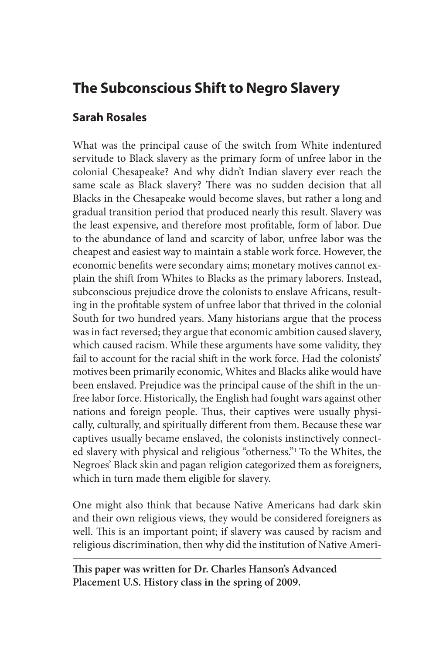# **The Subconscious Shift to Negro Slavery**

# **Sarah Rosales**

What was the principal cause of the switch from White indentured servitude to Black slavery as the primary form of unfree labor in the colonial Chesapeake? And why didn't Indian slavery ever reach the same scale as Black slavery? There was no sudden decision that all Blacks in the Chesapeake would become slaves, but rather a long and gradual transition period that produced nearly this result. Slavery was the least expensive, and therefore most profitable, form of labor. Due to the abundance of land and scarcity of labor, unfree labor was the cheapest and easiest way to maintain a stable work force. However, the economic benefits were secondary aims; monetary motives cannot explain the shift from Whites to Blacks as the primary laborers. Instead, subconscious prejudice drove the colonists to enslave Africans, resulting in the profitable system of unfree labor that thrived in the colonial South for two hundred years. Many historians argue that the process was in fact reversed; they argue that economic ambition caused slavery, which caused racism. While these arguments have some validity, they fail to account for the racial shift in the work force. Had the colonists' motives been primarily economic, Whites and Blacks alike would have been enslaved. Prejudice was the principal cause of the shift in the unfree labor force. Historically, the English had fought wars against other nations and foreign people. Thus, their captives were usually physically, culturally, and spiritually different from them. Because these war captives usually became enslaved, the colonists instinctively connected slavery with physical and religious "otherness."1 To the Whites, the Negroes' Black skin and pagan religion categorized them as foreigners, which in turn made them eligible for slavery.

One might also think that because Native Americans had dark skin and their own religious views, they would be considered foreigners as well. This is an important point; if slavery was caused by racism and religious discrimination, then why did the institution of Native Ameri-

**This paper was written for Dr. Charles Hanson's Advanced Placement U.S. History class in the spring of 2009.**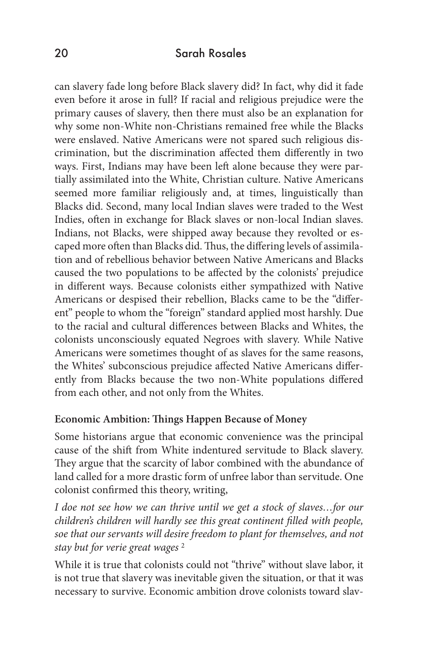can slavery fade long before Black slavery did? In fact, why did it fade even before it arose in full? If racial and religious prejudice were the primary causes of slavery, then there must also be an explanation for why some non-White non-Christians remained free while the Blacks were enslaved. Native Americans were not spared such religious discrimination, but the discrimination affected them differently in two ways. First, Indians may have been left alone because they were partially assimilated into the White, Christian culture. Native Americans seemed more familiar religiously and, at times, linguistically than Blacks did. Second, many local Indian slaves were traded to the West Indies, often in exchange for Black slaves or non-local Indian slaves. Indians, not Blacks, were shipped away because they revolted or escaped more often than Blacks did. Thus, the differing levels of assimilation and of rebellious behavior between Native Americans and Blacks caused the two populations to be affected by the colonists' prejudice in different ways. Because colonists either sympathized with Native Americans or despised their rebellion, Blacks came to be the "different" people to whom the "foreign" standard applied most harshly. Due to the racial and cultural differences between Blacks and Whites, the colonists unconsciously equated Negroes with slavery. While Native Americans were sometimes thought of as slaves for the same reasons, the Whites' subconscious prejudice affected Native Americans differently from Blacks because the two non-White populations differed from each other, and not only from the Whites.

#### **Economic Ambition: Things Happen Because of Money**

Some historians argue that economic convenience was the principal cause of the shift from White indentured servitude to Black slavery. They argue that the scarcity of labor combined with the abundance of land called for a more drastic form of unfree labor than servitude. One colonist confirmed this theory, writing,

*I doe not see how we can thrive until we get a stock of slaves…for our children's children will hardly see this great continent filled with people, soe that our servants will desire freedom to plant for themselves, and not stay but for verie great wages* <sup>2</sup>

While it is true that colonists could not "thrive" without slave labor, it is not true that slavery was inevitable given the situation, or that it was necessary to survive. Economic ambition drove colonists toward slav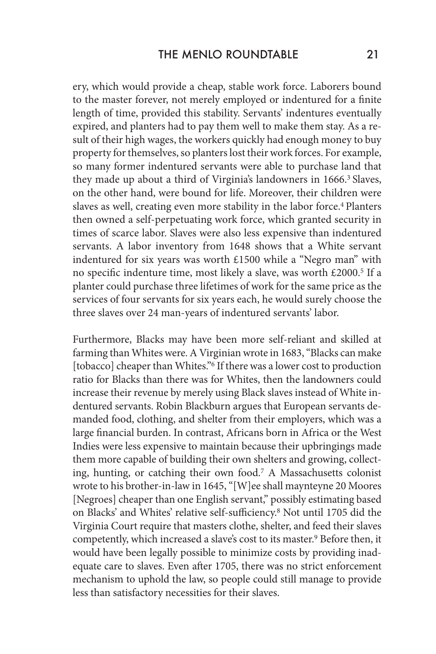ery, which would provide a cheap, stable work force. Laborers bound to the master forever, not merely employed or indentured for a finite length of time, provided this stability. Servants' indentures eventually expired, and planters had to pay them well to make them stay. As a result of their high wages, the workers quickly had enough money to buy property for themselves, so planters lost their work forces. For example, so many former indentured servants were able to purchase land that they made up about a third of Virginia's landowners in 1666.<sup>3</sup> Slaves, on the other hand, were bound for life. Moreover, their children were slaves as well, creating even more stability in the labor force.<sup>4</sup> Planters then owned a self-perpetuating work force, which granted security in times of scarce labor. Slaves were also less expensive than indentured servants. A labor inventory from 1648 shows that a White servant indentured for six years was worth £1500 while a "Negro man" with no specific indenture time, most likely a slave, was worth £2000.5 If a planter could purchase three lifetimes of work for the same price as the services of four servants for six years each, he would surely choose the three slaves over 24 man-years of indentured servants' labor.

Furthermore, Blacks may have been more self-reliant and skilled at farming than Whites were. A Virginian wrote in 1683, "Blacks can make [tobacco] cheaper than Whites."6 If there was a lower cost to production ratio for Blacks than there was for Whites, then the landowners could increase their revenue by merely using Black slaves instead of White indentured servants. Robin Blackburn argues that European servants demanded food, clothing, and shelter from their employers, which was a large financial burden. In contrast, Africans born in Africa or the West Indies were less expensive to maintain because their upbringings made them more capable of building their own shelters and growing, collecting, hunting, or catching their own food.7 A Massachusetts colonist wrote to his brother-in-law in 1645, "[W]ee shall maynteyne 20 Moores [Negroes] cheaper than one English servant," possibly estimating based on Blacks' and Whites' relative self-sufficiency.8 Not until 1705 did the Virginia Court require that masters clothe, shelter, and feed their slaves competently, which increased a slave's cost to its master.<sup>9</sup> Before then, it would have been legally possible to minimize costs by providing inadequate care to slaves. Even after 1705, there was no strict enforcement mechanism to uphold the law, so people could still manage to provide less than satisfactory necessities for their slaves.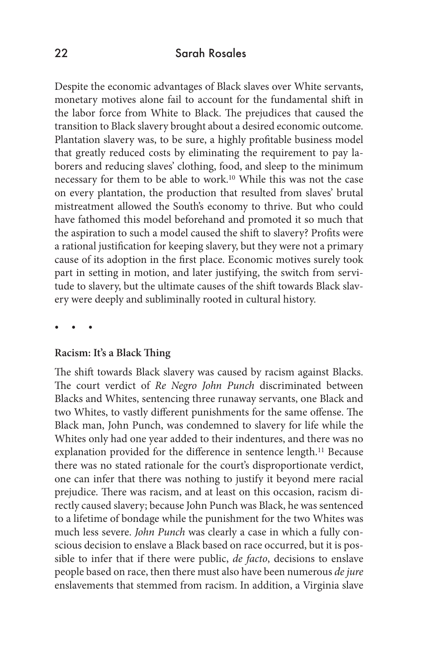Despite the economic advantages of Black slaves over White servants, monetary motives alone fail to account for the fundamental shift in the labor force from White to Black. The prejudices that caused the transition to Black slavery brought about a desired economic outcome. Plantation slavery was, to be sure, a highly profitable business model that greatly reduced costs by eliminating the requirement to pay laborers and reducing slaves' clothing, food, and sleep to the minimum necessary for them to be able to work.10 While this was not the case on every plantation, the production that resulted from slaves' brutal mistreatment allowed the South's economy to thrive. But who could have fathomed this model beforehand and promoted it so much that the aspiration to such a model caused the shift to slavery? Profits were a rational justification for keeping slavery, but they were not a primary cause of its adoption in the first place. Economic motives surely took part in setting in motion, and later justifying, the switch from servitude to slavery, but the ultimate causes of the shift towards Black slavery were deeply and subliminally rooted in cultural history.

• • •

#### **Racism: It's a Black Thing**

The shift towards Black slavery was caused by racism against Blacks. The court verdict of *Re Negro John Punch* discriminated between Blacks and Whites, sentencing three runaway servants, one Black and two Whites, to vastly different punishments for the same offense. The Black man, John Punch, was condemned to slavery for life while the Whites only had one year added to their indentures, and there was no explanation provided for the difference in sentence length.<sup>11</sup> Because there was no stated rationale for the court's disproportionate verdict, one can infer that there was nothing to justify it beyond mere racial prejudice. There was racism, and at least on this occasion, racism directly caused slavery; because John Punch was Black, he was sentenced to a lifetime of bondage while the punishment for the two Whites was much less severe. *John Punch* was clearly a case in which a fully conscious decision to enslave a Black based on race occurred, but it is possible to infer that if there were public, *de facto*, decisions to enslave people based on race, then there must also have been numerous *de jure*  enslavements that stemmed from racism. In addition, a Virginia slave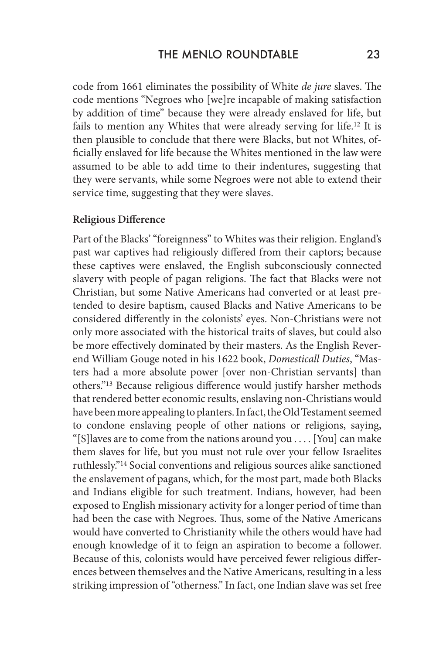code from 1661 eliminates the possibility of White *de jure* slaves. The code mentions "Negroes who [we]re incapable of making satisfaction by addition of time" because they were already enslaved for life, but fails to mention any Whites that were already serving for life.12 It is then plausible to conclude that there were Blacks, but not Whites, officially enslaved for life because the Whites mentioned in the law were assumed to be able to add time to their indentures, suggesting that they were servants, while some Negroes were not able to extend their service time, suggesting that they were slaves.

#### **Religious Difference**

Part of the Blacks' "foreignness" to Whites was their religion. England's past war captives had religiously differed from their captors; because these captives were enslaved, the English subconsciously connected slavery with people of pagan religions. The fact that Blacks were not Christian, but some Native Americans had converted or at least pretended to desire baptism, caused Blacks and Native Americans to be considered differently in the colonists' eyes. Non-Christians were not only more associated with the historical traits of slaves, but could also be more effectively dominated by their masters. As the English Reverend William Gouge noted in his 1622 book, *Domesticall Duties*, "Masters had a more absolute power [over non-Christian servants] than others."13 Because religious difference would justify harsher methods that rendered better economic results, enslaving non-Christians would have been more appealing to planters. In fact, the Old Testament seemed to condone enslaving people of other nations or religions, saying, "[S]laves are to come from the nations around you . . . . [You] can make them slaves for life, but you must not rule over your fellow Israelites ruthlessly."14 Social conventions and religious sources alike sanctioned the enslavement of pagans, which, for the most part, made both Blacks and Indians eligible for such treatment. Indians, however, had been exposed to English missionary activity for a longer period of time than had been the case with Negroes. Thus, some of the Native Americans would have converted to Christianity while the others would have had enough knowledge of it to feign an aspiration to become a follower. Because of this, colonists would have perceived fewer religious differences between themselves and the Native Americans, resulting in a less striking impression of "otherness." In fact, one Indian slave was set free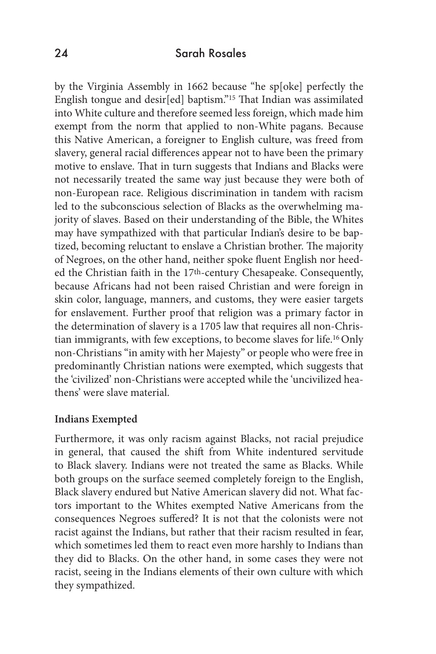by the Virginia Assembly in 1662 because "he sp[oke] perfectly the English tongue and desir[ed] baptism."15 That Indian was assimilated into White culture and therefore seemed less foreign, which made him exempt from the norm that applied to non-White pagans. Because this Native American, a foreigner to English culture, was freed from slavery, general racial differences appear not to have been the primary motive to enslave. That in turn suggests that Indians and Blacks were not necessarily treated the same way just because they were both of non-European race. Religious discrimination in tandem with racism led to the subconscious selection of Blacks as the overwhelming majority of slaves. Based on their understanding of the Bible, the Whites may have sympathized with that particular Indian's desire to be baptized, becoming reluctant to enslave a Christian brother. The majority of Negroes, on the other hand, neither spoke fluent English nor heeded the Christian faith in the 17th-century Chesapeake. Consequently, because Africans had not been raised Christian and were foreign in skin color, language, manners, and customs, they were easier targets for enslavement. Further proof that religion was a primary factor in the determination of slavery is a 1705 law that requires all non-Christian immigrants, with few exceptions, to become slaves for life.16 Only non-Christians "in amity with her Majesty" or people who were free in predominantly Christian nations were exempted, which suggests that the 'civilized' non-Christians were accepted while the 'uncivilized heathens' were slave material.

#### **Indians Exempted**

Furthermore, it was only racism against Blacks, not racial prejudice in general, that caused the shift from White indentured servitude to Black slavery. Indians were not treated the same as Blacks. While both groups on the surface seemed completely foreign to the English, Black slavery endured but Native American slavery did not. What factors important to the Whites exempted Native Americans from the consequences Negroes suffered? It is not that the colonists were not racist against the Indians, but rather that their racism resulted in fear, which sometimes led them to react even more harshly to Indians than they did to Blacks. On the other hand, in some cases they were not racist, seeing in the Indians elements of their own culture with which they sympathized.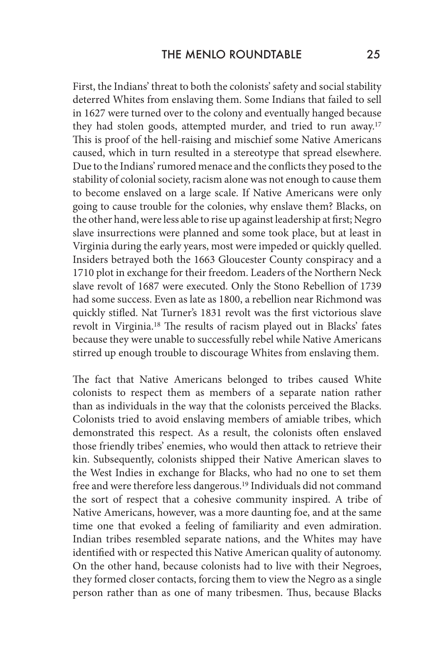First, the Indians' threat to both the colonists' safety and social stability deterred Whites from enslaving them. Some Indians that failed to sell in 1627 were turned over to the colony and eventually hanged because they had stolen goods, attempted murder, and tried to run away.<sup>17</sup> This is proof of the hell-raising and mischief some Native Americans caused, which in turn resulted in a stereotype that spread elsewhere. Due to the Indians' rumored menace and the conflicts they posed to the stability of colonial society, racism alone was not enough to cause them to become enslaved on a large scale. If Native Americans were only going to cause trouble for the colonies, why enslave them? Blacks, on the other hand, were less able to rise up against leadership at first; Negro slave insurrections were planned and some took place, but at least in Virginia during the early years, most were impeded or quickly quelled. Insiders betrayed both the 1663 Gloucester County conspiracy and a 1710 plot in exchange for their freedom. Leaders of the Northern Neck slave revolt of 1687 were executed. Only the Stono Rebellion of 1739 had some success. Even as late as 1800, a rebellion near Richmond was quickly stifled. Nat Turner's 1831 revolt was the first victorious slave revolt in Virginia.18 The results of racism played out in Blacks' fates because they were unable to successfully rebel while Native Americans stirred up enough trouble to discourage Whites from enslaving them.

The fact that Native Americans belonged to tribes caused White colonists to respect them as members of a separate nation rather than as individuals in the way that the colonists perceived the Blacks. Colonists tried to avoid enslaving members of amiable tribes, which demonstrated this respect. As a result, the colonists often enslaved those friendly tribes' enemies, who would then attack to retrieve their kin. Subsequently, colonists shipped their Native American slaves to the West Indies in exchange for Blacks, who had no one to set them free and were therefore less dangerous.19 Individuals did not command the sort of respect that a cohesive community inspired. A tribe of Native Americans, however, was a more daunting foe, and at the same time one that evoked a feeling of familiarity and even admiration. Indian tribes resembled separate nations, and the Whites may have identified with or respected this Native American quality of autonomy. On the other hand, because colonists had to live with their Negroes, they formed closer contacts, forcing them to view the Negro as a single person rather than as one of many tribesmen. Thus, because Blacks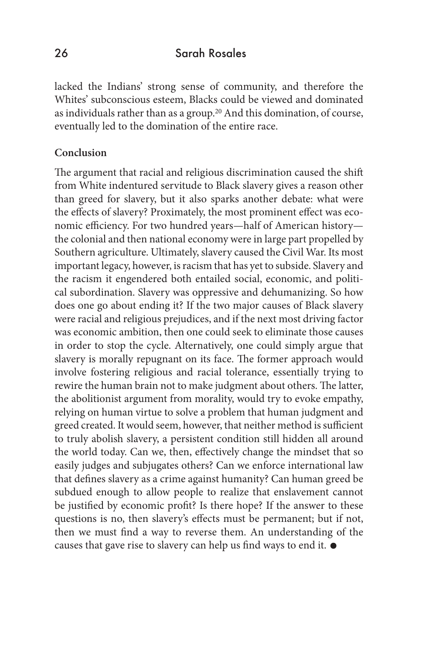lacked the Indians' strong sense of community, and therefore the Whites' subconscious esteem, Blacks could be viewed and dominated as individuals rather than as a group.20 And this domination, of course, eventually led to the domination of the entire race.

#### **Conclusion**

The argument that racial and religious discrimination caused the shift from White indentured servitude to Black slavery gives a reason other than greed for slavery, but it also sparks another debate: what were the effects of slavery? Proximately, the most prominent effect was economic efficiency. For two hundred years—half of American history the colonial and then national economy were in large part propelled by Southern agriculture. Ultimately, slavery caused the Civil War. Its most important legacy, however, is racism that has yet to subside. Slavery and the racism it engendered both entailed social, economic, and political subordination. Slavery was oppressive and dehumanizing. So how does one go about ending it? If the two major causes of Black slavery were racial and religious prejudices, and if the next most driving factor was economic ambition, then one could seek to eliminate those causes in order to stop the cycle. Alternatively, one could simply argue that slavery is morally repugnant on its face. The former approach would involve fostering religious and racial tolerance, essentially trying to rewire the human brain not to make judgment about others. The latter, the abolitionist argument from morality, would try to evoke empathy, relying on human virtue to solve a problem that human judgment and greed created. It would seem, however, that neither method is sufficient to truly abolish slavery, a persistent condition still hidden all around the world today. Can we, then, effectively change the mindset that so easily judges and subjugates others? Can we enforce international law that defines slavery as a crime against humanity? Can human greed be subdued enough to allow people to realize that enslavement cannot be justified by economic profit? Is there hope? If the answer to these questions is no, then slavery's effects must be permanent; but if not, then we must find a way to reverse them. An understanding of the causes that gave rise to slavery can help us find ways to end it.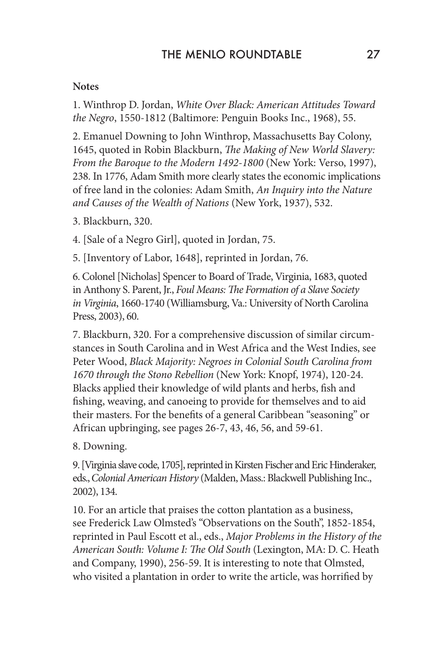### **Notes**

1. Winthrop D. Jordan, *White Over Black: American Attitudes Toward the Negro*, 1550-1812 (Baltimore: Penguin Books Inc., 1968), 55.

2. Emanuel Downing to John Winthrop, Massachusetts Bay Colony, 1645, quoted in Robin Blackburn, *The Making of New World Slavery: From the Baroque to the Modern 1492-1800* (New York: Verso, 1997), 238. In 1776, Adam Smith more clearly states the economic implications of free land in the colonies: Adam Smith, *An Inquiry into the Nature and Causes of the Wealth of Nations* (New York, 1937), 532.

3. Blackburn, 320.

4. [Sale of a Negro Girl], quoted in Jordan, 75.

5. [Inventory of Labor, 1648], reprinted in Jordan, 76.

6. Colonel [Nicholas] Spencer to Board of Trade, Virginia, 1683, quoted in Anthony S. Parent, Jr., *Foul Means: The Formation of a Slave Society in Virginia*, 1660-1740 (Williamsburg, Va.: University of North Carolina Press, 2003), 60.

7. Blackburn, 320. For a comprehensive discussion of similar circumstances in South Carolina and in West Africa and the West Indies, see Peter Wood, *Black Majority: Negroes in Colonial South Carolina from 1670 through the Stono Rebellion* (New York: Knopf, 1974), 120-24. Blacks applied their knowledge of wild plants and herbs, fish and fishing, weaving, and canoeing to provide for themselves and to aid their masters. For the benefits of a general Caribbean "seasoning" or African upbringing, see pages 26-7, 43, 46, 56, and 59-61.

8. Downing.

9. [Virginia slave code, 1705], reprinted in Kirsten Fischer and Eric Hinderaker, eds., *Colonial American History* (Malden, Mass.: Blackwell Publishing Inc., 2002), 134.

10. For an article that praises the cotton plantation as a business, see Frederick Law Olmsted's "Observations on the South", 1852-1854, reprinted in Paul Escott et al., eds., *Major Problems in the History of the American South: Volume I: The Old South* (Lexington, MA: D. C. Heath and Company, 1990), 256-59. It is interesting to note that Olmsted, who visited a plantation in order to write the article, was horrified by